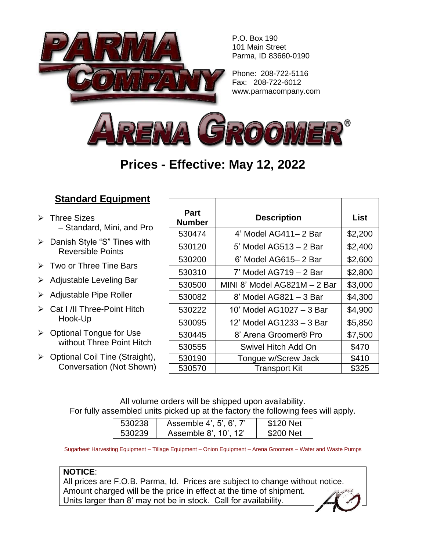

P.O. Box 190 101 Main Street Parma, ID 83660-0190

Phone: 208-722-5116 Fax: 208-722-6012 www.parmacompany.com



## **Prices - Effective: May 12, 2022**

## **Standard Equipment**

- ➢ Three Sizes – Standard, Mini, and Pro
- ➢ Danish Style "S" Tines with Reversible Points
- $\triangleright$  Two or Three Tine Bars
- ➢ Adjustable Leveling Bar
- ➢ Adjustable Pipe Roller
- ➢ Cat I /II Three-Point Hitch Hook-Up
- ➢ Optional Tongue for Use without Three Point Hitch
- ➢ Optional Coil Tine (Straight), Conversation (Not Shown)

| <b>Part</b><br><b>Number</b> | <b>Description</b>           | List    |
|------------------------------|------------------------------|---------|
| 530474                       | 4' Model AG411-2 Bar         | \$2,200 |
| 530120                       | 5' Model AG513 - 2 Bar       | \$2,400 |
| 530200                       | 6' Model AG615-2 Bar         | \$2,600 |
| 530310                       | 7' Model AG719 - 2 Bar       | \$2,800 |
| 530500                       | MINI 8' Model AG821M – 2 Bar | \$3,000 |
| 530082                       | 8' Model AG821 - 3 Bar       | \$4,300 |
| 530222                       | 10' Model AG1027 - 3 Bar     | \$4,900 |
| 530095                       | 12' Model AG1233 - 3 Bar     | \$5,850 |
| 530445                       | 8' Arena Groomer® Pro        | \$7,500 |
| 530555                       | Swivel Hitch Add On          | \$470   |
| 530190                       | Tongue w/Screw Jack          | \$410   |
| 530570                       | <b>Transport Kit</b>         | \$325   |

All volume orders will be shipped upon availability. For fully assembled units picked up at the factory the following fees will apply.

| 530238 | Assemble 4', 5', 6', 7' | \$120 Net |
|--------|-------------------------|-----------|
| 530239 | Assemble 8', 10', 12'   | \$200 Net |

Sugarbeet Harvesting Equipment – Tillage Equipment – Onion Equipment – Arena Groomers – Water and Waste Pumps

## **NOTICE**:

All prices are F.O.B. Parma, Id. Prices are subject to change without notice. Amount charged will be the price in effect at the time of shipment. Units larger than 8' may not be in stock. Call for availability.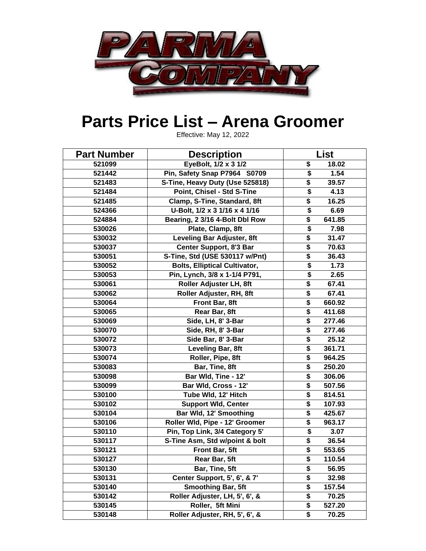

## **Parts Price List – Arena Groomer**

Effective: May 12, 2022

| <b>Part Number</b> | <b>Description</b>                   | <b>List</b>                          |        |
|--------------------|--------------------------------------|--------------------------------------|--------|
| 521099             | EyeBolt, 1/2 x 3 1/2                 | \$                                   | 18.02  |
| 521442             | Pin, Safety Snap P7964 S0709         | \$                                   | 1.54   |
| 521483             | S-Tine, Heavy Duty (Use 525818)      | \$                                   | 39.57  |
| 521484             | Point, Chisel - Std S-Tine           | $\overline{\boldsymbol{\mathsf{s}}}$ | 4.13   |
| 521485             | Clamp, S-Tine, Standard, 8ft         | \$                                   | 16.25  |
| 524366             | U-Bolt, 1/2 x 3 1/16 x 4 1/16        | \$                                   | 6.69   |
| 524884             | Bearing, 2 3/16 4-Bolt Dbl Row       | \$                                   | 641.85 |
| 530026             | Plate, Clamp, 8ft                    | $\overline{\boldsymbol{\mathsf{s}}}$ | 7.98   |
| 530032             | <b>Leveling Bar Adjuster, 8ft</b>    | \$                                   | 31.47  |
| 530037             | Center Support, 8'3 Bar              | \$                                   | 70.63  |
| 530051             | S-Tine, Std (USE 530117 w/Pnt)       | \$                                   | 36.43  |
| 530052             | <b>Bolts, Elliptical Cultivator,</b> | \$                                   | 1.73   |
| 530053             | Pin, Lynch, 3/8 x 1-1/4 P791,        | $\overline{\boldsymbol{\mathsf{s}}}$ | 2.65   |
| 530061             | Roller Adjuster LH, 8ft              | \$                                   | 67.41  |
| 530062             | Roller Adjuster, RH, 8ft             | \$                                   | 67.41  |
| 530064             | Front Bar, 8ft                       | \$                                   | 660.92 |
| 530065             | Rear Bar, 8ft                        | \$                                   | 411.68 |
| 530069             | Side, LH, 8' 3-Bar                   | \$                                   | 277.46 |
| 530070             | Side, RH, 8' 3-Bar                   | \$                                   | 277.46 |
| 530072             | Side Bar, 8' 3-Bar                   | \$                                   | 25.12  |
| 530073             | Leveling Bar, 8ft                    | \$                                   | 361.71 |
| 530074             | Roller, Pipe, 8ft                    | \$                                   | 964.25 |
| 530083             | Bar, Tine, 8ft                       | \$                                   | 250.20 |
| 530098             | Bar Wld, Tine - 12'                  | \$                                   | 306.06 |
| 530099             | Bar Wld, Cross - 12'                 | \$                                   | 507.56 |
| 530100             | Tube Wld, 12' Hitch                  | \$                                   | 814.51 |
| 530102             | <b>Support Wid, Center</b>           | \$                                   | 107.93 |
| 530104             | Bar Wld, 12' Smoothing               | \$                                   | 425.67 |
| 530106             | Roller Wld, Pipe - 12' Groomer       | \$                                   | 963.17 |
| 530110             | Pin, Top Link, 3/4 Category 5'       | \$                                   | 3.07   |
| 530117             | S-Tine Asm, Std w/point & bolt       | \$                                   | 36.54  |
| 530121             | Front Bar, 5ft                       | \$                                   | 553.65 |
| 530127             | Rear Bar, 5ft                        | \$                                   | 110.54 |
| 530130             | Bar, Tine, 5ft                       | \$                                   | 56.95  |
| 530131             | Center Support, 5', 6', & 7'         | \$                                   | 32.98  |
| 530140             | <b>Smoothing Bar, 5ft</b>            | \$                                   | 157.54 |
| 530142             | Roller Adjuster, LH, 5', 6', &       | \$                                   | 70.25  |
| 530145             | Roller, 5ft Mini                     | \$                                   | 527.20 |
| 530148             | Roller Adjuster, RH, 5', 6', &       | \$                                   | 70.25  |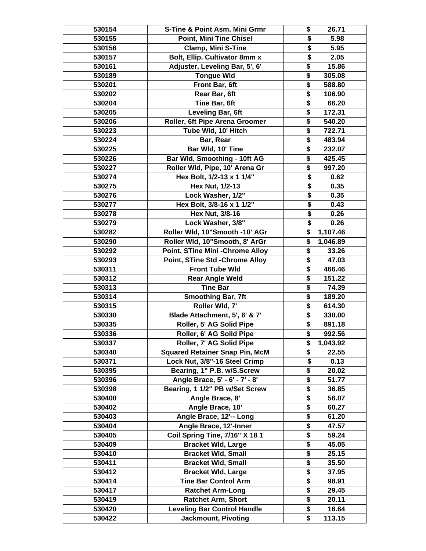| 530154           | S-Tine & Point Asm. Mini Grmr               | \$<br>26.71                                   |
|------------------|---------------------------------------------|-----------------------------------------------|
| 530155           | <b>Point, Mini Tine Chisel</b>              | \$<br>5.98                                    |
| 530156           | <b>Clamp, Mini S-Tine</b>                   | 5.95<br>\$                                    |
| 530157           | Bolt, Ellip. Cultivator 8mm x               | \$<br>2.05                                    |
| 530161           | Adjuster, Leveling Bar, 5', 6'              | \$<br>15.86                                   |
| 530189           | <b>Tongue Wid</b>                           | \$<br>305.08                                  |
| 530201           | Front Bar, 6ft                              | \$<br>588.80                                  |
| 530202           | Rear Bar, 6ft                               | \$<br>106.90                                  |
| 530204           | Tine Bar, 6ft                               | \$<br>66.20                                   |
| 530205           | Leveling Bar, 6ft                           | \$<br>172.31                                  |
| 530206           | Roller, 6ft Pipe Arena Groomer              | \$<br>540.20                                  |
| 530223           | Tube Wld, 10' Hitch                         | \$<br>722.71                                  |
| 530224           | Bar, Rear                                   | \$<br>483.94                                  |
| 530225           | Bar Wld, 10' Tine                           | \$<br>232.07                                  |
| 530226           | Bar Wld, Smoothing - 10ft AG                | \$<br>425.45                                  |
| 530227           | Roller Wld, Pipe, 10' Arena Gr              | \$<br>997.20                                  |
| 530274           | Hex Bolt, 1/2-13 x 1 1/4"                   | \$<br>0.62                                    |
| 530275           | Hex Nut, 1/2-13                             | \$<br>0.35                                    |
| 530276           | Lock Washer, 1/2"                           | \$<br>0.35                                    |
| 530277           | Hex Bolt, 3/8-16 x 1 1/2"                   | \$<br>0.43                                    |
| 530278           | Hex Nut, 3/8-16                             | \$<br>0.26                                    |
| 530279           | Lock Washer, 3/8"                           | 0.26<br>\$                                    |
| 530282           | Roller Wld, 10"Smooth -10' AGr              | \$<br>1,107.46                                |
| 530290           | Roller Wld, 10"Smooth, 8' ArGr              | \$<br>1,046.89                                |
| 530292           | Point, STine Mini - Chrome Alloy            | \$<br>33.26                                   |
| 530293           | Point, STine Std - Chrome Alloy             | $\overline{\$}$<br>47.03                      |
| 530311           | <b>Front Tube Wld</b>                       | \$<br>466.46                                  |
| 530312           | <b>Rear Angle Weld</b>                      | \$<br>151.22                                  |
| 530313           | <b>Tine Bar</b>                             | \$<br>74.39                                   |
| 530314           | <b>Smoothing Bar, 7ft</b>                   | \$<br>189.20                                  |
| 530315           | Roller Wld, 7'                              | \$<br>614.30                                  |
| 530330           | Blade Attachment, 5', 6' & 7'               | \$<br>330.00                                  |
| 530335           | Roller, 5' AG Solid Pipe                    | \$<br>891.18                                  |
| 530336           | Roller, 6' AG Solid Pipe                    | \$<br>992.56                                  |
| 530337           | Roller, 7' AG Solid Pipe                    | \$<br>1,043.92                                |
| 530340           | <b>Squared Retainer Snap Pin, McM</b>       | \$<br>22.55                                   |
| 530371           | Lock Nut, 3/8"-16 Steel Crimp               | 0.13<br>\$                                    |
| 530395           | Bearing, 1" P.B. w/S.Screw                  | \$<br>20.02                                   |
| 530396           | Angle Brace, 5' - 6' - 7' - 8'              | \$<br>51.77                                   |
| 530398           | Bearing, 1 1/2" PB w/Set Screw              | $\overline{\boldsymbol{\mathsf{s}}}$<br>36.85 |
| 530400           | Angle Brace, 8'                             | \$<br>56.07                                   |
| 530402<br>530403 | Angle Brace, 10'<br>Angle Brace, 12'-- Long | \$<br>60.27<br>\$<br>61.20                    |
| 530404           | Angle Brace, 12'-Inner                      | \$<br>47.57                                   |
| 530405           | Coil Spring Tine, 7/16" X 18 1              | \$<br>59.24                                   |
| 530409           | <b>Bracket Wld, Large</b>                   | \$<br>45.05                                   |
| 530410           | <b>Bracket Wld, Small</b>                   | \$<br>25.15                                   |
| 530411           | <b>Bracket Wld, Small</b>                   | \$<br>35.50                                   |
| 530412           | <b>Bracket Wld, Large</b>                   | \$<br>37.95                                   |
| 530414           | <b>Tine Bar Control Arm</b>                 | $\overline{\boldsymbol{\mathsf{s}}}$<br>98.91 |
| 530417           | <b>Ratchet Arm-Long</b>                     | \$<br>29.45                                   |
| 530419           | <b>Ratchet Arm, Short</b>                   | \$<br>20.11                                   |
| 530420           | <b>Leveling Bar Control Handle</b>          | \$<br>16.64                                   |
| 530422           | <b>Jackmount, Pivoting</b>                  | $\overline{\$}$<br>113.15                     |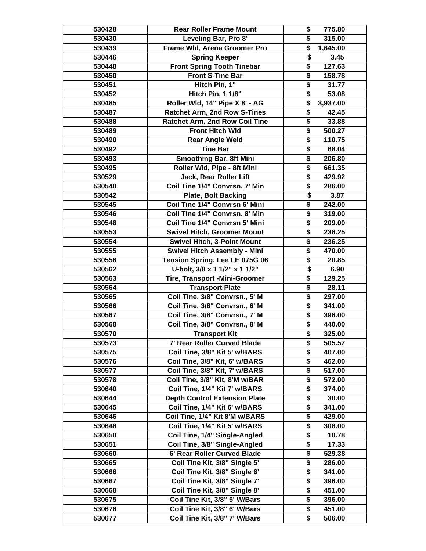| 530428 | <b>Rear Roller Frame Mount</b>        | \$<br>775.80                                   |
|--------|---------------------------------------|------------------------------------------------|
| 530430 | Leveling Bar, Pro 8'                  | $\overline{\$}$<br>315.00                      |
| 530439 | Frame Wld, Arena Groomer Pro          | \$<br>1,645.00                                 |
| 530446 | <b>Spring Keeper</b>                  | \$<br>3.45                                     |
| 530448 | <b>Front Spring Tooth Tinebar</b>     | $\overline{\boldsymbol{\mathsf{s}}}$<br>127.63 |
| 530450 | <b>Front S-Tine Bar</b>               | $\overline{\boldsymbol{\mathsf{s}}}$<br>158.78 |
| 530451 | Hitch Pin, 1"                         | \$<br>31.77                                    |
| 530452 | <b>Hitch Pin, 1 1/8"</b>              | $\overline{\boldsymbol{\mathsf{s}}}$<br>53.08  |
| 530485 | Roller Wld, 14" Pipe X 8' - AG        | \$<br>3,937.00                                 |
| 530487 | <b>Ratchet Arm, 2nd Row S-Tines</b>   | \$<br>42.45                                    |
| 530488 | <b>Ratchet Arm, 2nd Row Coil Tine</b> | \$<br>33.88                                    |
| 530489 | <b>Front Hitch Wld</b>                | \$<br>500.27                                   |
| 530490 | <b>Rear Angle Weld</b>                | \$<br>110.75                                   |
| 530492 | <b>Tine Bar</b>                       | \$<br>68.04                                    |
| 530493 | <b>Smoothing Bar, 8ft Mini</b>        | \$<br>206.80                                   |
| 530495 | Roller Wld, Pipe - 8ft Mini           | \$<br>661.35                                   |
| 530529 | Jack, Rear Roller Lift                | $\overline{\boldsymbol{\mathsf{s}}}$<br>429.92 |
| 530540 | Coil Tine 1/4" Convrsn. 7' Min        | \$<br>286.00                                   |
| 530542 | <b>Plate, Bolt Backing</b>            | \$<br>3.87                                     |
| 530545 | Coil Tine 1/4" Convrsn 6' Mini        | \$<br>242.00                                   |
| 530546 | Coil Tine 1/4" Convrsn. 8' Min        | \$<br>319.00                                   |
| 530548 | Coil Tine 1/4" Convrsn 5' Mini        | \$<br>209.00                                   |
|        |                                       | \$                                             |
| 530553 | <b>Swivel Hitch, Groomer Mount</b>    | 236.25<br>$\overline{\boldsymbol{\mathsf{s}}}$ |
| 530554 | <b>Swivel Hitch, 3-Point Mount</b>    | 236.25                                         |
| 530555 | Swivel Hitch Assembly - Mini          | $\overline{\boldsymbol{\mathsf{s}}}$<br>470.00 |
| 530556 | Tension Spring, Lee LE 075G 06        | $\overline{\boldsymbol{\mathsf{s}}}$<br>20.85  |
| 530562 | U-bolt, 3/8 x 1 1/2" x 1 1/2"         | \$<br>6.90                                     |
| 530563 | <b>Tire, Transport -Mini-Groomer</b>  | \$<br>129.25                                   |
| 530564 | <b>Transport Plate</b>                | $\overline{\boldsymbol{\mathsf{s}}}$<br>28.11  |
| 530565 | Coil Tine, 3/8" Convrsn., 5' M        | $\overline{\boldsymbol{\mathsf{s}}}$<br>297.00 |
| 530566 | Coil Tine, 3/8" Convrsn., 6' M        | \$<br>341.00                                   |
| 530567 | Coil Tine, 3/8" Convrsn., 7' M        | $\overline{\boldsymbol{\mathsf{s}}}$<br>396.00 |
| 530568 | Coil Tine, 3/8" Convrsn., 8' M        | \$<br>440.00                                   |
| 530570 | <b>Transport Kit</b>                  | $\overline{\boldsymbol{\mathsf{s}}}$<br>325.00 |
| 530573 | 7' Rear Roller Curved Blade           | \$<br>505.57                                   |
| 530575 | Coil Tine, 3/8" Kit 5' w/BARS         | \$<br>407.00                                   |
| 530576 | Coil Tine, 3/8" Kit, 6' w/BARS        | \$<br>462.00                                   |
| 530577 | Coil Tine, 3/8" Kit, 7' w/BARS        | \$<br>517.00                                   |
| 530578 | Coil Tine, 3/8" Kit, 8'M w/BAR        | $\overline{\boldsymbol{\mathsf{s}}}$<br>572.00 |
| 530640 | Coil Tine, 1/4" Kit 7' w/BARS         | \$<br>374.00                                   |
| 530644 | <b>Depth Control Extension Plate</b>  | $\overline{\boldsymbol{\mathsf{s}}}$<br>30.00  |
| 530645 | Coil Tine, 1/4" Kit 6' w/BARS         | \$<br>341.00                                   |
| 530646 | Coil Tine, 1/4" Kit 8'M w/BARS        | \$<br>429.00                                   |
| 530648 | Coil Tine, 1/4" Kit 5' w/BARS         | \$<br>308.00                                   |
| 530650 | Coil Tine, 1/4" Single-Angled         | \$<br>10.78                                    |
| 530651 | Coil Tine, 3/8" Single-Angled         | \$<br>17.33                                    |
| 530660 | 6' Rear Roller Curved Blade           | \$<br>529.38                                   |
| 530665 | Coil Tine Kit, 3/8" Single 5'         | \$<br>286.00                                   |
| 530666 | Coil Tine Kit, 3/8" Single 6'         | \$<br>341.00                                   |
| 530667 | Coil Tine Kit, 3/8" Single 7'         | \$<br>396.00                                   |
| 530668 | Coil Tine Kit, 3/8" Single 8'         | \$<br>451.00                                   |
| 530675 | Coil Tine Kit, 3/8" 5' W/Bars         | \$<br>396.00                                   |
| 530676 | Coil Tine Kit, 3/8" 6' W/Bars         | \$<br>451.00                                   |
| 530677 | Coil Tine Kit, 3/8" 7' W/Bars         | $\overline{\$}$<br>506.00                      |